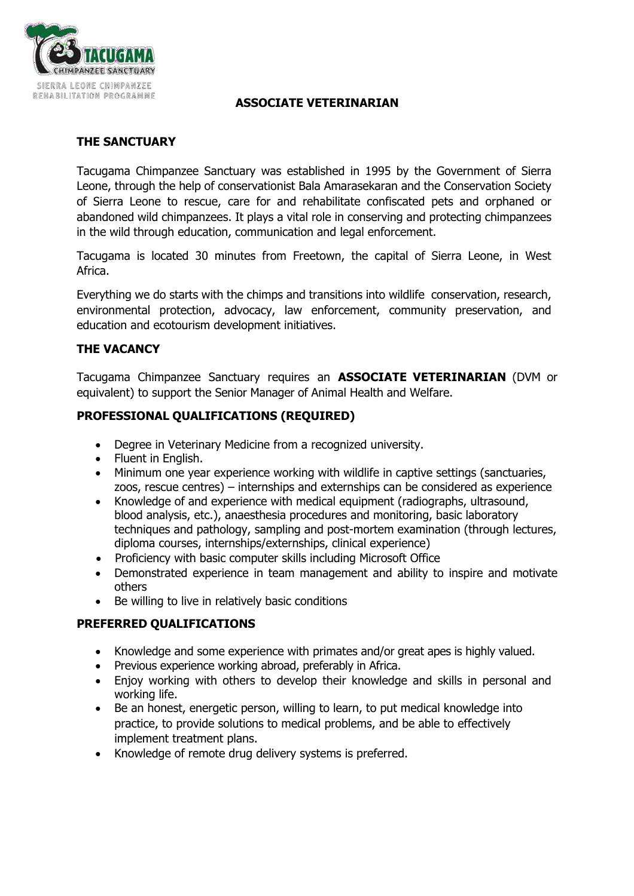

## **ASSOCIATE VETERINARIAN**

### **THE SANCTUARY**

Tacugama Chimpanzee Sanctuary was established in 1995 by the Government of Sierra Leone, through the help of conservationist Bala Amarasekaran and the Conservation Society of Sierra Leone to rescue, care for and rehabilitate confiscated pets and orphaned or abandoned wild chimpanzees. It plays a vital role in conserving and protecting chimpanzees in the wild through education, communication and legal enforcement.

Tacugama is located 30 minutes from Freetown, the capital of Sierra Leone, in West Africa.

Everything we do starts with the chimps and transitions into wildlife conservation, research, environmental protection, advocacy, law enforcement, community preservation, and education and ecotourism development initiatives.

## **THE VACANCY**

Tacugama Chimpanzee Sanctuary requires an **ASSOCIATE VETERINARIAN** (DVM or equivalent) to support the Senior Manager of Animal Health and Welfare.

## **PROFESSIONAL QUALIFICATIONS (REQUIRED)**

- Degree in Veterinary Medicine from a recognized university.
- Fluent in English.
- Minimum one year experience working with wildlife in captive settings (sanctuaries, zoos, rescue centres) – internships and externships can be considered as experience
- Knowledge of and experience with medical equipment (radiographs, ultrasound, blood analysis, etc.), anaesthesia procedures and monitoring, basic laboratory techniques and pathology, sampling and post-mortem examination (through lectures, diploma courses, internships/externships, clinical experience)
- Proficiency with basic computer skills including Microsoft Office
- Demonstrated experience in team management and ability to inspire and motivate others
- Be willing to live in relatively basic conditions

## **PREFERRED QUALIFICATIONS**

- Knowledge and some experience with primates and/or great apes is highly valued.
- Previous experience working abroad, preferably in Africa.
- Enjoy working with others to develop their knowledge and skills in personal and working life.
- Be an honest, energetic person, willing to learn, to put medical knowledge into practice, to provide solutions to medical problems, and be able to effectively implement treatment plans.
- Knowledge of remote drug delivery systems is preferred.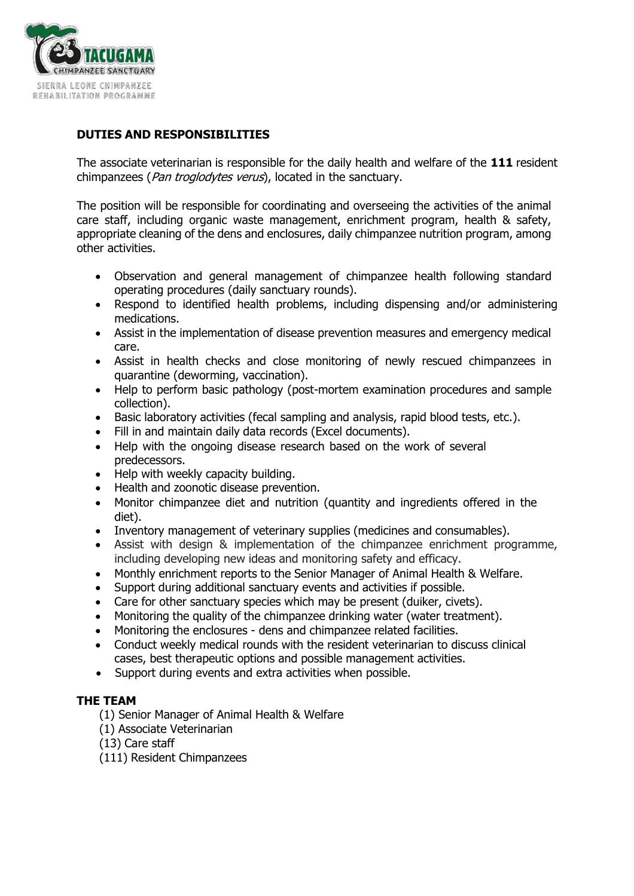

# **DUTIES AND RESPONSIBILITIES**

The associate veterinarian is responsible for the daily health and welfare of the **111** resident chimpanzees (*Pan troglodytes verus*), located in the sanctuary.

The position will be responsible for coordinating and overseeing the activities of the animal care staff, including organic waste management, enrichment program, health & safety, appropriate cleaning of the dens and enclosures, daily chimpanzee nutrition program, among other activities.

- Observation and general management of chimpanzee health following standard operating procedures (daily sanctuary rounds).
- Respond to identified health problems, including dispensing and/or administering medications.
- Assist in the implementation of disease prevention measures and emergency medical care.
- Assist in health checks and close monitoring of newly rescued chimpanzees in quarantine (deworming, vaccination).
- Help to perform basic pathology (post-mortem examination procedures and sample collection).
- Basic laboratory activities (fecal sampling and analysis, rapid blood tests, etc.).
- Fill in and maintain daily data records (Excel documents).
- Help with the ongoing disease research based on the work of several predecessors.
- Help with weekly capacity building.
- Health and zoonotic disease prevention.
- Monitor chimpanzee diet and nutrition (quantity and ingredients offered in the diet).
- Inventory management of veterinary supplies (medicines and consumables).
- Assist with design & implementation of the chimpanzee enrichment programme, including developing new ideas and monitoring safety and efficacy.
- Monthly enrichment reports to the Senior Manager of Animal Health & Welfare.
- Support during additional sanctuary events and activities if possible.
- Care for other sanctuary species which may be present (duiker, civets).
- Monitoring the quality of the chimpanzee drinking water (water treatment).
- Monitoring the enclosures dens and chimpanzee related facilities.
- Conduct weekly medical rounds with the resident veterinarian to discuss clinical cases, best therapeutic options and possible management activities.
- Support during events and extra activities when possible.

## **THE TEAM**

- (1) Senior Manager of Animal Health & Welfare
- (1) Associate Veterinarian
- (13) Care staff
- (111) Resident Chimpanzees